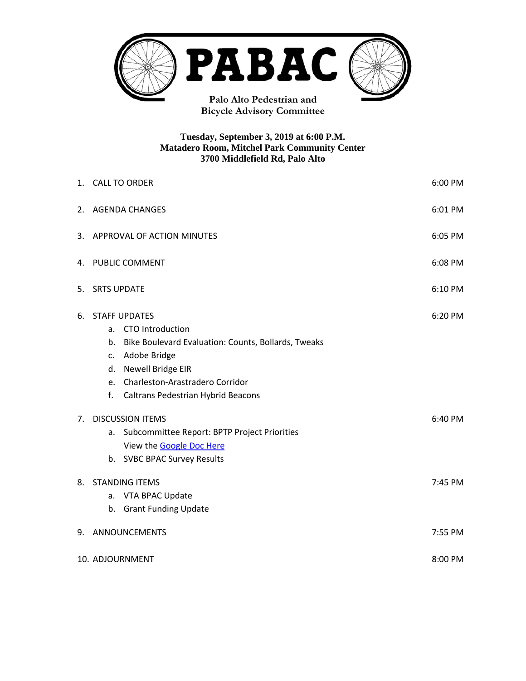

**Bicycle Advisory Committee**

#### **Tuesday, September 3, 2019 at 6:00 P.M. Matadero Room, Mitchel Park Community Center 3700 Middlefield Rd, Palo Alto**

|    | 6:00 PM<br>1. CALL TO ORDER                                                                                                                                                                                                        |         |  |  |
|----|------------------------------------------------------------------------------------------------------------------------------------------------------------------------------------------------------------------------------------|---------|--|--|
|    | 6:01 PM<br>2. AGENDA CHANGES                                                                                                                                                                                                       |         |  |  |
|    | 6:05 PM<br>3. APPROVAL OF ACTION MINUTES                                                                                                                                                                                           |         |  |  |
|    | 4. PUBLIC COMMENT<br>6:08 PM                                                                                                                                                                                                       |         |  |  |
| 5. | <b>SRTS UPDATE</b><br>6:10 PM                                                                                                                                                                                                      |         |  |  |
| 6. | <b>STAFF UPDATES</b><br>a. CTO Introduction<br>b. Bike Boulevard Evaluation: Counts, Bollards, Tweaks<br>c. Adobe Bridge<br>d. Newell Bridge EIR<br>e. Charleston-Arastradero Corridor<br>f.<br>Caltrans Pedestrian Hybrid Beacons | 6:20 PM |  |  |
| 7. | <b>DISCUSSION ITEMS</b><br>6:40 PM<br>Subcommittee Report: BPTP Project Priorities<br>а.<br>View the Google Doc Here<br>b. SVBC BPAC Survey Results                                                                                |         |  |  |
| 8. | 7:45 PM<br><b>STANDING ITEMS</b><br>a. VTA BPAC Update<br>b. Grant Funding Update                                                                                                                                                  |         |  |  |
| 9. | <b>ANNOUNCEMENTS</b><br>7:55 PM                                                                                                                                                                                                    |         |  |  |
|    | 10. ADJOURNMENT                                                                                                                                                                                                                    |         |  |  |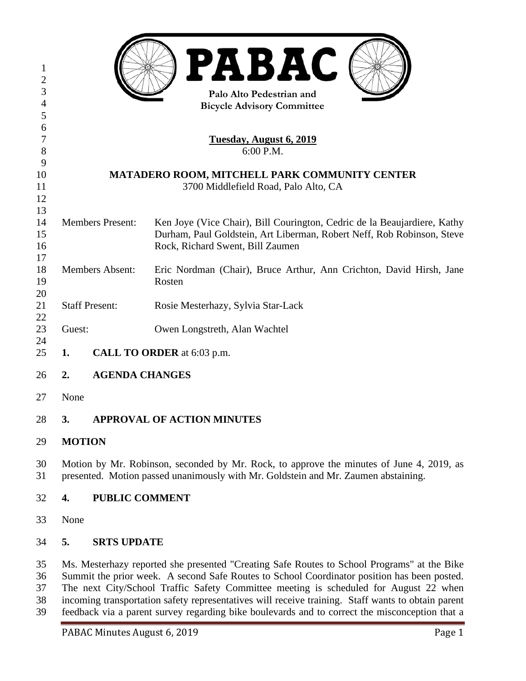|                                                                                                                                                                                |                                   | <b>PABAC</b><br>Palo Alto Pedestrian and<br><b>Bicycle Advisory Committee</b>                                                                      |  |
|--------------------------------------------------------------------------------------------------------------------------------------------------------------------------------|-----------------------------------|----------------------------------------------------------------------------------------------------------------------------------------------------|--|
|                                                                                                                                                                                |                                   | Tuesday, August 6, 2019                                                                                                                            |  |
| 6:00 P.M.                                                                                                                                                                      |                                   |                                                                                                                                                    |  |
|                                                                                                                                                                                |                                   |                                                                                                                                                    |  |
| MATADERO ROOM, MITCHELL PARK COMMUNITY CENTER<br>3700 Middlefield Road, Palo Alto, CA                                                                                          |                                   |                                                                                                                                                    |  |
|                                                                                                                                                                                |                                   |                                                                                                                                                    |  |
|                                                                                                                                                                                |                                   |                                                                                                                                                    |  |
|                                                                                                                                                                                |                                   | Ken Joye (Vice Chair), Bill Courington, Cedric de la Beaujardiere, Kathy<br>Durham, Paul Goldstein, Art Liberman, Robert Neff, Rob Robinson, Steve |  |
|                                                                                                                                                                                |                                   | Rock, Richard Swent, Bill Zaumen                                                                                                                   |  |
|                                                                                                                                                                                |                                   |                                                                                                                                                    |  |
|                                                                                                                                                                                |                                   | Eric Nordman (Chair), Bruce Arthur, Ann Crichton, David Hirsh, Jane                                                                                |  |
|                                                                                                                                                                                |                                   | Rosten                                                                                                                                             |  |
|                                                                                                                                                                                |                                   | Rosie Mesterhazy, Sylvia Star-Lack                                                                                                                 |  |
|                                                                                                                                                                                |                                   |                                                                                                                                                    |  |
|                                                                                                                                                                                |                                   | Owen Longstreth, Alan Wachtel                                                                                                                      |  |
| CALL TO ORDER at 6:03 p.m.<br>1.                                                                                                                                               |                                   |                                                                                                                                                    |  |
| 2.                                                                                                                                                                             | <b>AGENDA CHANGES</b>             |                                                                                                                                                    |  |
|                                                                                                                                                                                |                                   |                                                                                                                                                    |  |
|                                                                                                                                                                                |                                   |                                                                                                                                                    |  |
| 3.                                                                                                                                                                             | <b>APPROVAL OF ACTION MINUTES</b> |                                                                                                                                                    |  |
|                                                                                                                                                                                |                                   |                                                                                                                                                    |  |
| Motion by Mr. Robinson, seconded by Mr. Rock, to approve the minutes of June 4, 2019, as<br>presented. Motion passed unanimously with Mr. Goldstein and Mr. Zaumen abstaining. |                                   |                                                                                                                                                    |  |
| 4.                                                                                                                                                                             | <b>PUBLIC COMMENT</b>             |                                                                                                                                                    |  |
|                                                                                                                                                                                |                                   |                                                                                                                                                    |  |
|                                                                                                                                                                                |                                   | <b>Members Present:</b><br><b>Members Absent:</b><br><b>Staff Present:</b><br>Guest:<br>None<br><b>MOTION</b><br>None                              |  |

# **5. SRTS UPDATE**

 Ms. Mesterhazy reported she presented "Creating Safe Routes to School Programs" at the Bike Summit the prior week. A second Safe Routes to School Coordinator position has been posted. The next City/School Traffic Safety Committee meeting is scheduled for August 22 when incoming transportation safety representatives will receive training. Staff wants to obtain parent feedback via a parent survey regarding bike boulevards and to correct the misconception that a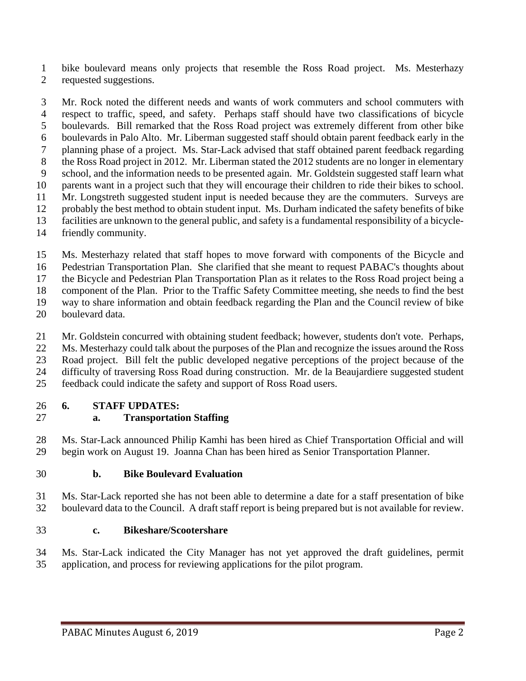bike boulevard means only projects that resemble the Ross Road project. Ms. Mesterhazy requested suggestions.

 Mr. Rock noted the different needs and wants of work commuters and school commuters with respect to traffic, speed, and safety. Perhaps staff should have two classifications of bicycle boulevards. Bill remarked that the Ross Road project was extremely different from other bike boulevards in Palo Alto. Mr. Liberman suggested staff should obtain parent feedback early in the planning phase of a project. Ms. Star-Lack advised that staff obtained parent feedback regarding 8 the Ross Road project in 2012. Mr. Liberman stated the 2012 students are no longer in elementary school, and the information needs to be presented again. Mr. Goldstein suggested staff learn what parents want in a project such that they will encourage their children to ride their bikes to school. Mr. Longstreth suggested student input is needed because they are the commuters. Surveys are probably the best method to obtain student input. Ms. Durham indicated the safety benefits of bike facilities are unknown to the general public, and safety is a fundamental responsibility of a bicycle-

- friendly community.
- Ms. Mesterhazy related that staff hopes to move forward with components of the Bicycle and

Pedestrian Transportation Plan. She clarified that she meant to request PABAC's thoughts about

the Bicycle and Pedestrian Plan Transportation Plan as it relates to the Ross Road project being a

component of the Plan. Prior to the Traffic Safety Committee meeting, she needs to find the best

way to share information and obtain feedback regarding the Plan and the Council review of bike

boulevard data.

Mr. Goldstein concurred with obtaining student feedback; however, students don't vote. Perhaps,

Ms. Mesterhazy could talk about the purposes of the Plan and recognize the issues around the Ross

Road project. Bill felt the public developed negative perceptions of the project because of the

difficulty of traversing Ross Road during construction. Mr. de la Beaujardiere suggested student

feedback could indicate the safety and support of Ross Road users.

## **6. STAFF UPDATES:**

## **a. Transportation Staffing**

 Ms. Star-Lack announced Philip Kamhi has been hired as Chief Transportation Official and will begin work on August 19. Joanna Chan has been hired as Senior Transportation Planner.

### **b. Bike Boulevard Evaluation**

 Ms. Star-Lack reported she has not been able to determine a date for a staff presentation of bike boulevard data to the Council. A draft staff report is being prepared but is not available for review.

### **c. Bikeshare/Scootershare**

 Ms. Star-Lack indicated the City Manager has not yet approved the draft guidelines, permit application, and process for reviewing applications for the pilot program.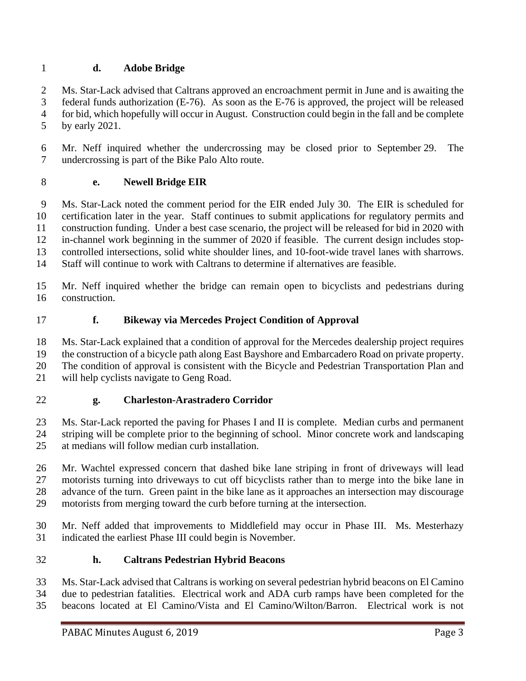### **d. Adobe Bridge**

 Ms. Star-Lack advised that Caltrans approved an encroachment permit in June and is awaiting the federal funds authorization (E-76). As soon as the E-76 is approved, the project will be released for bid, which hopefully will occur in August. Construction could begin in the fall and be complete by early 2021.

 Mr. Neff inquired whether the undercrossing may be closed prior to September 29. The undercrossing is part of the Bike Palo Alto route.

### **e. Newell Bridge EIR**

 Ms. Star-Lack noted the comment period for the EIR ended July 30. The EIR is scheduled for certification later in the year. Staff continues to submit applications for regulatory permits and construction funding. Under a best case scenario, the project will be released for bid in 2020 with in-channel work beginning in the summer of 2020 if feasible. The current design includes stop- controlled intersections, solid white shoulder lines, and 10-foot-wide travel lanes with sharrows. Staff will continue to work with Caltrans to determine if alternatives are feasible.

 Mr. Neff inquired whether the bridge can remain open to bicyclists and pedestrians during construction.

**f. Bikeway via Mercedes Project Condition of Approval**

Ms. Star-Lack explained that a condition of approval for the Mercedes dealership project requires

the construction of a bicycle path along East Bayshore and Embarcadero Road on private property.

 The condition of approval is consistent with the Bicycle and Pedestrian Transportation Plan and will help cyclists navigate to Geng Road.

### **g. Charleston-Arastradero Corridor**

 Ms. Star-Lack reported the paving for Phases I and II is complete. Median curbs and permanent striping will be complete prior to the beginning of school. Minor concrete work and landscaping at medians will follow median curb installation.

 Mr. Wachtel expressed concern that dashed bike lane striping in front of driveways will lead motorists turning into driveways to cut off bicyclists rather than to merge into the bike lane in advance of the turn. Green paint in the bike lane as it approaches an intersection may discourage motorists from merging toward the curb before turning at the intersection.

 Mr. Neff added that improvements to Middlefield may occur in Phase III. Ms. Mesterhazy indicated the earliest Phase III could begin is November.

### **h. Caltrans Pedestrian Hybrid Beacons**

Ms. Star-Lack advised that Caltrans is working on several pedestrian hybrid beacons on El Camino

due to pedestrian fatalities. Electrical work and ADA curb ramps have been completed for the

beacons located at El Camino/Vista and El Camino/Wilton/Barron. Electrical work is not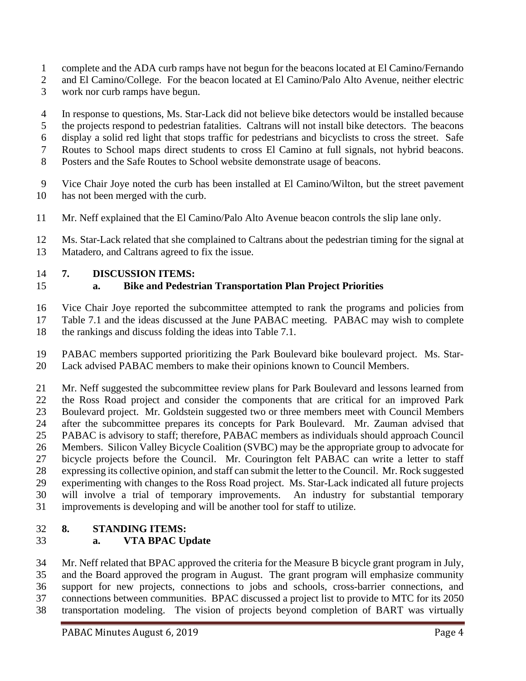- complete and the ADA curb ramps have not begun for the beacons located at El Camino/Fernando
- 2 and El Camino/College. For the beacon located at El Camino/Palo Alto Avenue, neither electric
- work nor curb ramps have begun.
- In response to questions, Ms. Star-Lack did not believe bike detectors would be installed because the projects respond to pedestrian fatalities. Caltrans will not install bike detectors. The beacons display a solid red light that stops traffic for pedestrians and bicyclists to cross the street. Safe
- Routes to School maps direct students to cross El Camino at full signals, not hybrid beacons.
- Posters and the Safe Routes to School website demonstrate usage of beacons.
- Vice Chair Joye noted the curb has been installed at El Camino/Wilton, but the street pavement has not been merged with the curb.
- Mr. Neff explained that the El Camino/Palo Alto Avenue beacon controls the slip lane only.
- Ms. Star-Lack related that she complained to Caltrans about the pedestrian timing for the signal at Matadero, and Caltrans agreed to fix the issue.

### **7. DISCUSSION ITEMS:**

## **a. Bike and Pedestrian Transportation Plan Project Priorities**

 Vice Chair Joye reported the subcommittee attempted to rank the programs and policies from Table 7.1 and the ideas discussed at the June PABAC meeting. PABAC may wish to complete the rankings and discuss folding the ideas into Table 7.1.

 PABAC members supported prioritizing the Park Boulevard bike boulevard project. Ms. Star-Lack advised PABAC members to make their opinions known to Council Members.

 Mr. Neff suggested the subcommittee review plans for Park Boulevard and lessons learned from the Ross Road project and consider the components that are critical for an improved Park Boulevard project. Mr. Goldstein suggested two or three members meet with Council Members after the subcommittee prepares its concepts for Park Boulevard. Mr. Zauman advised that PABAC is advisory to staff; therefore, PABAC members as individuals should approach Council Members. Silicon Valley Bicycle Coalition (SVBC) may be the appropriate group to advocate for bicycle projects before the Council. Mr. Courington felt PABAC can write a letter to staff expressing its collective opinion, and staff can submit the letter to the Council. Mr. Rock suggested experimenting with changes to the Ross Road project. Ms. Star-Lack indicated all future projects will involve a trial of temporary improvements. An industry for substantial temporary improvements is developing and will be another tool for staff to utilize.

## **8. STANDING ITEMS:**

# **a. VTA BPAC Update**

 Mr. Neff related that BPAC approved the criteria for the Measure B bicycle grant program in July, and the Board approved the program in August. The grant program will emphasize community support for new projects, connections to jobs and schools, cross-barrier connections, and connections between communities. BPAC discussed a project list to provide to MTC for its 2050 transportation modeling. The vision of projects beyond completion of BART was virtually